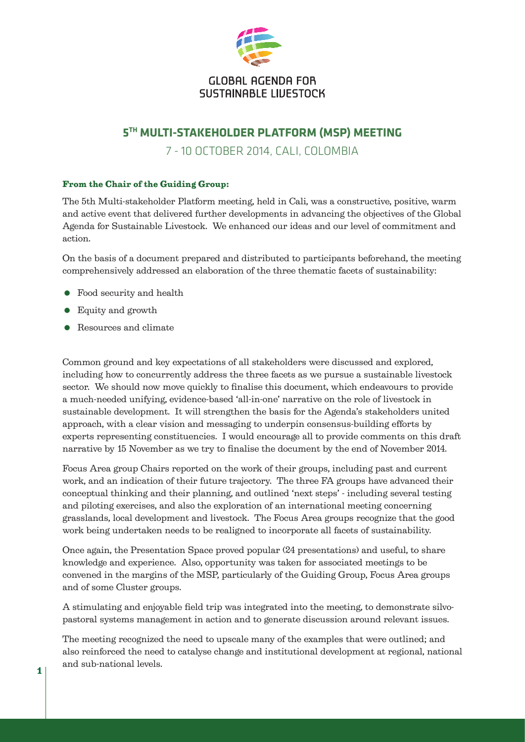

## **GLOBAL AGENDA FOR** SUSTAINABLE LIUFSTOCK

## **5TH MULTI-STAKEHOLDER PLATFORM (MSP) MEETING**

7 - 10 OCTOBER 2014, CALI, COLOMBIA

## From the Chair of the Guiding Group:

The 5th Multi-stakeholder Platform meeting, held in Cali, was a constructive, positive, warm and active event that delivered further developments in advancing the objectives of the Global Agenda for Sustainable Livestock. We enhanced our ideas and our level of commitment and action.

On the basis of a document prepared and distributed to participants beforehand, the meeting comprehensively addressed an elaboration of the three thematic facets of sustainability:

- Food security and health
- Equity and growth
- Resources and climate

Common ground and key expectations of all stakeholders were discussed and explored, including how to concurrently address the three facets as we pursue a sustainable livestock sector. We should now move quickly to finalise this document, which endeavours to provide a much-needed unifying, evidence-based 'all-in-one' narrative on the role of livestock in sustainable development. It will strengthen the basis for the Agenda's stakeholders united approach, with a clear vision and messaging to underpin consensus-building efforts by experts representing constituencies. I would encourage all to provide comments on this draft narrative by 15 November as we try to finalise the document by the end of November 2014.

Focus Area group Chairs reported on the work of their groups, including past and current work, and an indication of their future trajectory. The three FA groups have advanced their conceptual thinking and their planning, and outlined 'next steps' - including several testing and piloting exercises, and also the exploration of an international meeting concerning grasslands, local development and livestock. The Focus Area groups recognize that the good work being undertaken needs to be realigned to incorporate all facets of sustainability.

Once again, the Presentation Space proved popular (24 presentations) and useful, to share knowledge and experience. Also, opportunity was taken for associated meetings to be convened in the margins of the MSP, particularly of the Guiding Group, Focus Area groups and of some Cluster groups.

A stimulating and enjoyable field trip was integrated into the meeting, to demonstrate silvopastoral systems management in action and to generate discussion around relevant issues.

The meeting recognized the need to upscale many of the examples that were outlined; and also reinforced the need to catalyse change and institutional development at regional, national and sub-national levels.